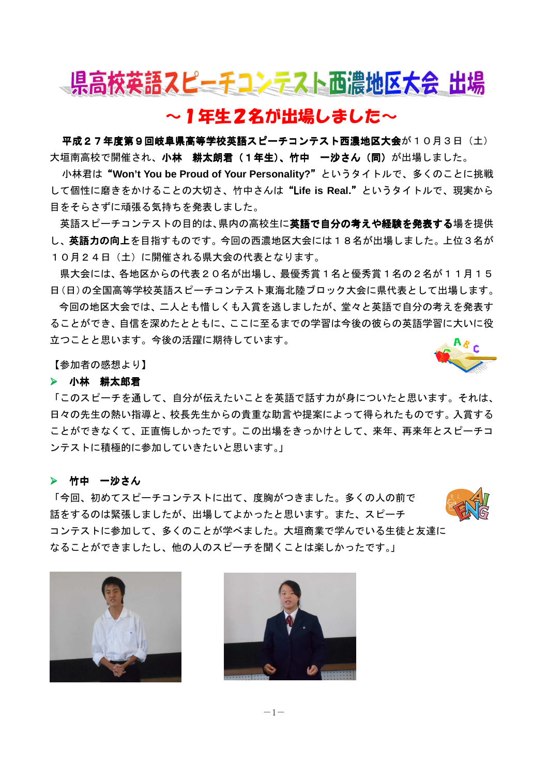

# ~1年生2名が出場しました~

平成27年度第9回岐阜県高等学校英語スピーチコンテスト西濃地区大会が10月3日(土) 大垣南高校で開催され、小林 耕太朗君(1年生)、竹中 一沙さん(同)が出場しました。

小林君は"**Won't You be Proud of Your Personality?**"というタイトルで、多くのことに挑戦 " して個性に磨きをかけることの大切さ、竹中さんは"L**ife is Real.**"というタイトルで、現実から " 目をそらさずに頑張る気持ちを発表しました。

英語スピーチコンテストの目的は、県内の高校生に英語で自分の考えや経験を発表する場を提供 し、英語力の向上を目指すものです。今回の西濃地区大会には18名が出場しました。上位3名が 10月24日(土)に開催される県大会の代表となります。

県大会には、各地区からの代表20名が出場し、最優秀賞1名と優秀賞1名の2名が11月15 日(日)の全国高等学校英語スピーチコンテスト東海北陸ブロック大会に県代表として出場します。

今回の地区大会では、二人とも惜しくも入賞を逃しましたが、堂々と英語で自分の考えを発表す ることができ、自信を深めたとともに、ここに至るまでの学習は今後の彼らの英語学習に大いに役 立つことと思います。今後の活躍に期待しています。

【参加者の感想より】

### 小林 耕太郎君

「このスピーチを通して、自分が伝えたいことを英語で話す力が身についたと思います。それは、 日々の先生の熱い指導と、校長先生からの貴重な助言や提案によって得られたものです。入賞する ことができなくて、正直悔しかったです。この出場をきっかけとして、来年、再来年とスピーチコ ンテストに積極的に参加していきたいと思います。」

#### ▶ 竹中 一沙さん

「今回、初めてスピーチコンテストに出て、度胸がつきました。多くの人の前で 話をするのは緊張しましたが、出場してよかったと思います。また、スピーチ コンテストに参加して、多くのことが学べました。大垣商業で学んでいる生徒と友達に なることができましたし、他の人のスピーチを聞くことは楽しかったです。」



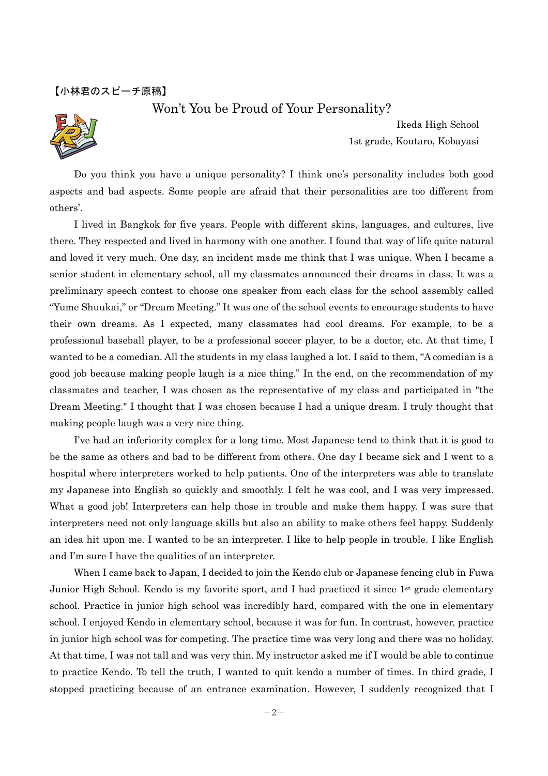### Won't You be Proud of Your Personality?



Ikeda High School 1st grade, Koutaro, Kobayasi

Do you think you have a unique personality? I think one's personality includes both good aspects and bad aspects. Some people are afraid that their personalities are too different from others'.

 I lived in Bangkok for five years. People with different skins, languages, and cultures, live there. They respected and lived in harmony with one another. I found that way of life quite natural and loved it very much. One day, an incident made me think that I was unique. When I became a senior student in elementary school, all my classmates announced their dreams in class. It was a preliminary speech contest to choose one speaker from each class for the school assembly called "Yume Shuukai," or "Dream Meeting." It was one of the school events to encourage students to have their own dreams. As I expected, many classmates had cool dreams. For example, to be a professional baseball player, to be a professional soccer player, to be a doctor, etc. At that time, I wanted to be a comedian. All the students in my class laughed a lot. I said to them, "A comedian is a good job because making people laugh is a nice thing." In the end, on the recommendation of my classmates and teacher, I was chosen as the representative of my class and participated in "the Dream Meeting." I thought that I was chosen because I had a unique dream. I truly thought that making people laugh was a very nice thing.

 I've had an inferiority complex for a long time. Most Japanese tend to think that it is good to be the same as others and bad to be different from others. One day I became sick and I went to a hospital where interpreters worked to help patients. One of the interpreters was able to translate my Japanese into English so quickly and smoothly. I felt he was cool, and I was very impressed. What a good job! Interpreters can help those in trouble and make them happy. I was sure that interpreters need not only language skills but also an ability to make others feel happy. Suddenly an idea hit upon me. I wanted to be an interpreter. I like to help people in trouble. I like English and I'm sure I have the qualities of an interpreter.

 When I came back to Japan, I decided to join the Kendo club or Japanese fencing club in Fuwa Junior High School. Kendo is my favorite sport, and I had practiced it since 1<sup>st</sup> grade elementary school. Practice in junior high school was incredibly hard, compared with the one in elementary school. I enjoyed Kendo in elementary school, because it was for fun. In contrast, however, practice in junior high school was for competing. The practice time was very long and there was no holiday. At that time, I was not tall and was very thin. My instructor asked me if I would be able to continue to practice Kendo. To tell the truth, I wanted to quit kendo a number of times. In third grade, I stopped practicing because of an entrance examination. However, I suddenly recognized that I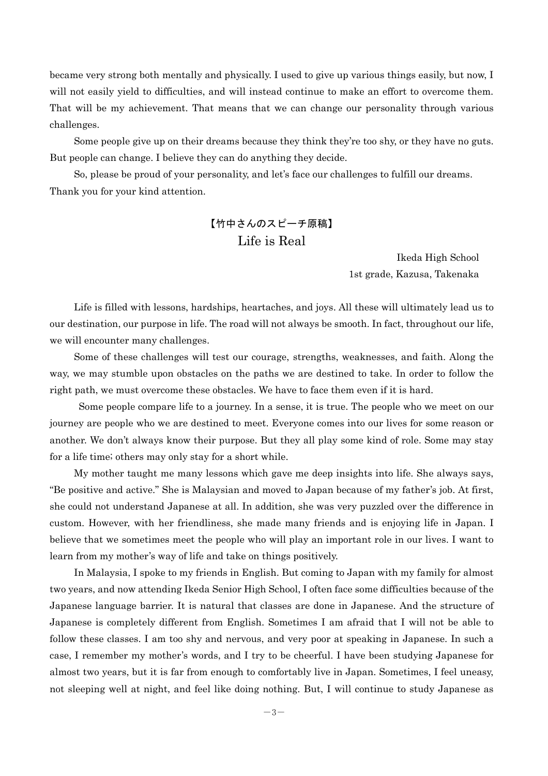became very strong both mentally and physically. I used to give up various things easily, but now, I will not easily yield to difficulties, and will instead continue to make an effort to overcome them. That will be my achievement. That means that we can change our personality through various challenges.

 Some people give up on their dreams because they think they're too shy, or they have no guts. But people can change. I believe they can do anything they decide.

So, please be proud of your personality, and let's face our challenges to fulfill our dreams. Thank you for your kind attention.

## 【竹中さんのスピーチ原稿】 Life is Real

Ikeda High School 1st grade, Kazusa, Takenaka

Life is filled with lessons, hardships, heartaches, and joys. All these will ultimately lead us to our destination, our purpose in life. The road will not always be smooth. In fact, throughout our life, we will encounter many challenges.

Some of these challenges will test our courage, strengths, weaknesses, and faith. Along the way, we may stumble upon obstacles on the paths we are destined to take. In order to follow the right path, we must overcome these obstacles. We have to face them even if it is hard.

 Some people compare life to a journey. In a sense, it is true. The people who we meet on our journey are people who we are destined to meet. Everyone comes into our lives for some reason or another. We don't always know their purpose. But they all play some kind of role. Some may stay for a life time; others may only stay for a short while.

My mother taught me many lessons which gave me deep insights into life. She always says, "Be positive and active." She is Malaysian and moved to Japan because of my father's job. At first, she could not understand Japanese at all. In addition, she was very puzzled over the difference in custom. However, with her friendliness, she made many friends and is enjoying life in Japan. I believe that we sometimes meet the people who will play an important role in our lives. I want to learn from my mother's way of life and take on things positively.

In Malaysia, I spoke to my friends in English. But coming to Japan with my family for almost two years, and now attending Ikeda Senior High School, I often face some difficulties because of the Japanese language barrier. It is natural that classes are done in Japanese. And the structure of Japanese is completely different from English. Sometimes I am afraid that I will not be able to follow these classes. I am too shy and nervous, and very poor at speaking in Japanese. In such a case, I remember my mother's words, and I try to be cheerful. I have been studying Japanese for almost two years, but it is far from enough to comfortably live in Japan. Sometimes, I feel uneasy, not sleeping well at night, and feel like doing nothing. But, I will continue to study Japanese as